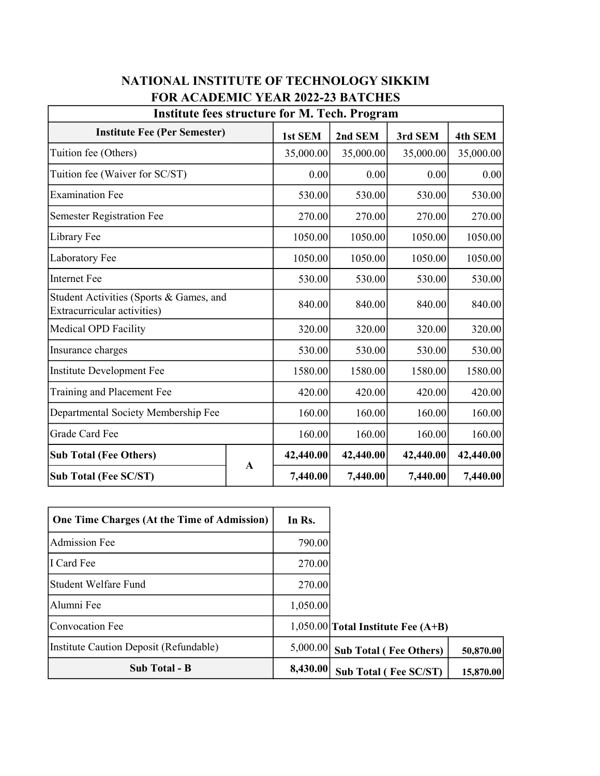| <b>Institute fees structure for M. Tech. Program</b>                   |              |           |           |           |           |  |  |  |
|------------------------------------------------------------------------|--------------|-----------|-----------|-----------|-----------|--|--|--|
| <b>Institute Fee (Per Semester)</b>                                    |              | 1st SEM   | 2nd SEM   | 3rd SEM   | 4th SEM   |  |  |  |
| Tuition fee (Others)                                                   |              | 35,000.00 | 35,000.00 | 35,000.00 | 35,000.00 |  |  |  |
| Tuition fee (Waiver for SC/ST)                                         |              | 0.00      | 0.00      | 0.00      | 0.00      |  |  |  |
| <b>Examination Fee</b>                                                 |              | 530.00    | 530.00    | 530.00    | 530.00    |  |  |  |
| <b>Semester Registration Fee</b>                                       |              | 270.00    | 270.00    | 270.00    | 270.00    |  |  |  |
| Library Fee                                                            |              | 1050.00   | 1050.00   | 1050.00   | 1050.00   |  |  |  |
| Laboratory Fee                                                         |              | 1050.00   | 1050.00   | 1050.00   | 1050.00   |  |  |  |
| <b>Internet Fee</b>                                                    |              | 530.00    | 530.00    | 530.00    | 530.00    |  |  |  |
| Student Activities (Sports & Games, and<br>Extracurricular activities) |              | 840.00    | 840.00    | 840.00    | 840.00    |  |  |  |
| Medical OPD Facility                                                   |              | 320.00    | 320.00    | 320.00    | 320.00    |  |  |  |
| Insurance charges                                                      |              | 530.00    | 530.00    | 530.00    | 530.00    |  |  |  |
| Institute Development Fee                                              |              | 1580.00   | 1580.00   | 1580.00   | 1580.00   |  |  |  |
| Training and Placement Fee                                             |              | 420.00    | 420.00    | 420.00    | 420.00    |  |  |  |
| Departmental Society Membership Fee                                    |              | 160.00    | 160.00    | 160.00    | 160.00    |  |  |  |
| Grade Card Fee                                                         |              | 160.00    | 160.00    | 160.00    | 160.00    |  |  |  |
| <b>Sub Total (Fee Others)</b>                                          | $\mathbf{A}$ | 42,440.00 | 42,440.00 | 42,440.00 | 42,440.00 |  |  |  |
| <b>Sub Total (Fee SC/ST)</b>                                           |              | 7,440.00  | 7,440.00  | 7,440.00  | 7,440.00  |  |  |  |

## NATIONAL INSTITUTE OF TECHNOLOGY SIKKIM FOR ACADEMIC YEAR 2022-23 BATCHES

| <b>One Time Charges (At the Time of Admission)</b> | In Rs.   |                                      |           |  |
|----------------------------------------------------|----------|--------------------------------------|-----------|--|
| Admission Fee                                      | 790.00   |                                      |           |  |
| I Card Fee                                         | 270.00   |                                      |           |  |
| Student Welfare Fund                               | 270.00   |                                      |           |  |
| l Alumni Fee                                       | 1,050.00 |                                      |           |  |
| Convocation Fee                                    |          | $1,050.00$ Total Institute Fee (A+B) |           |  |
| Institute Caution Deposit (Refundable)             | 5,000.00 | <b>Sub Total (Fee Others)</b>        | 50,870.00 |  |
| Sub Total - B                                      | 8,430.00 | <b>Sub Total (Fee SC/ST)</b>         | 15,870.00 |  |